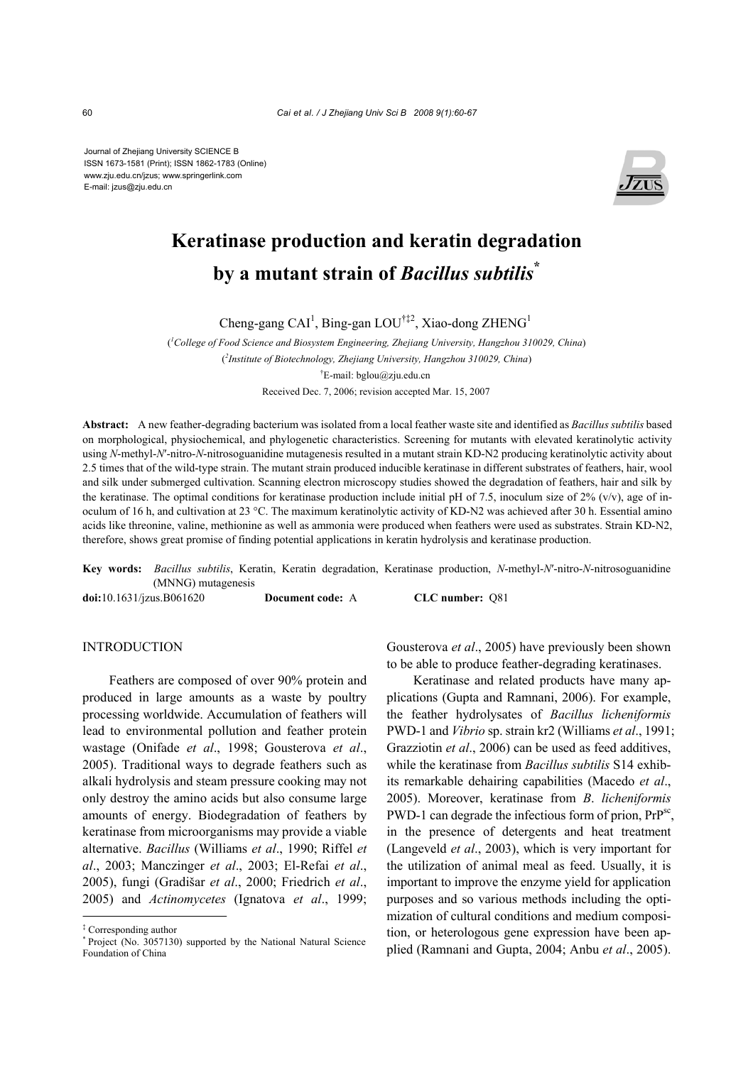Journal of Zhejiang University SCIENCE B ISSN 1673-1581 (Print); ISSN 1862-1783 (Online) www.zju.edu.cn/jzus; www.springerlink.com E-mail: jzus@zju.edu.cn



# **Keratinase production and keratin degradation by a mutant strain of** *Bacillus subtilis***\***

Cheng-gang CAI<sup>1</sup>, Bing-gan LOU<sup>†‡2</sup>, Xiao-dong ZHENG<sup>1</sup>

( *1 College of Food Science and Biosystem Engineering, Zhejiang University, Hangzhou 310029, China*) ( *2 Institute of Biotechnology, Zhejiang University, Hangzhou 310029, China*) † E-mail: bglou@zju.edu.cn Received Dec. 7, 2006; revision accepted Mar. 15, 2007

**Abstract:** A new feather-degrading bacterium was isolated from a local feather waste site and identified as *Bacillus subtilis* based on morphological, physiochemical, and phylogenetic characteristics. Screening for mutants with elevated keratinolytic activity using *N*-methyl-*N*′-nitro-*N*-nitrosoguanidine mutagenesis resulted in a mutant strain KD-N2 producing keratinolytic activity about 2.5 times that of the wild-type strain. The mutant strain produced inducible keratinase in different substrates of feathers, hair, wool and silk under submerged cultivation. Scanning electron microscopy studies showed the degradation of feathers, hair and silk by the keratinase. The optimal conditions for keratinase production include initial pH of 7.5, inoculum size of 2% (v/v), age of inoculum of 16 h, and cultivation at 23 °C. The maximum keratinolytic activity of KD-N2 was achieved after 30 h. Essential amino acids like threonine, valine, methionine as well as ammonia were produced when feathers were used as substrates. Strain KD-N2, therefore, shows great promise of finding potential applications in keratin hydrolysis and keratinase production.

**Key words:** *Bacillus subtilis*, Keratin, Keratin degradation, Keratinase production, *N*-methyl-*N*′-nitro-*N*-nitrosoguanidine (MNNG) mutagenesis

**doi:**10.1631/jzus.B061620 **Document code:** A **CLC number:** Q81

# **INTRODUCTION**

Feathers are composed of over 90% protein and produced in large amounts as a waste by poultry processing worldwide. Accumulation of feathers will lead to environmental pollution and feather protein wastage (Onifade *et al*., 1998; Gousterova *et al*., 2005). Traditional ways to degrade feathers such as alkali hydrolysis and steam pressure cooking may not only destroy the amino acids but also consume large amounts of energy. Biodegradation of feathers by keratinase from microorganisms may provide a viable alternative. *Bacillus* (Williams *et al*., 1990; Riffel *et al*., 2003; Manczinger *et al*., 2003; El-Refai *et al*., 2005), fungi (Gradišar *et al*., 2000; Friedrich *et al*., 2005) and *Actinomycetes* (Ignatova *et al*., 1999;

Gousterova *et al*., 2005) have previously been shown to be able to produce feather-degrading keratinases.

Keratinase and related products have many applications (Gupta and Ramnani, 2006). For example, the feather hydrolysates of *Bacillus licheniformis* PWD-1 and *Vibrio* sp. strain kr2 (Williams *et al*., 1991; Grazziotin *et al*., 2006) can be used as feed additives, while the keratinase from *Bacillus subtilis* S14 exhibits remarkable dehairing capabilities (Macedo *et al*., 2005). Moreover, keratinase from *B*. *licheniformis*  PWD-1 can degrade the infectious form of prion, PrP<sup>sc</sup>, in the presence of detergents and heat treatment (Langeveld *et al*., 2003), which is very important for the utilization of animal meal as feed. Usually, it is important to improve the enzyme yield for application purposes and so various methods including the optimization of cultural conditions and medium composition, or heterologous gene expression have been applied (Ramnani and Gupta, 2004; Anbu *et al*., 2005).

<sup>‡</sup> Corresponding author

<sup>\*</sup> Project (No. 3057130) supported by the National Natural Science Foundation of China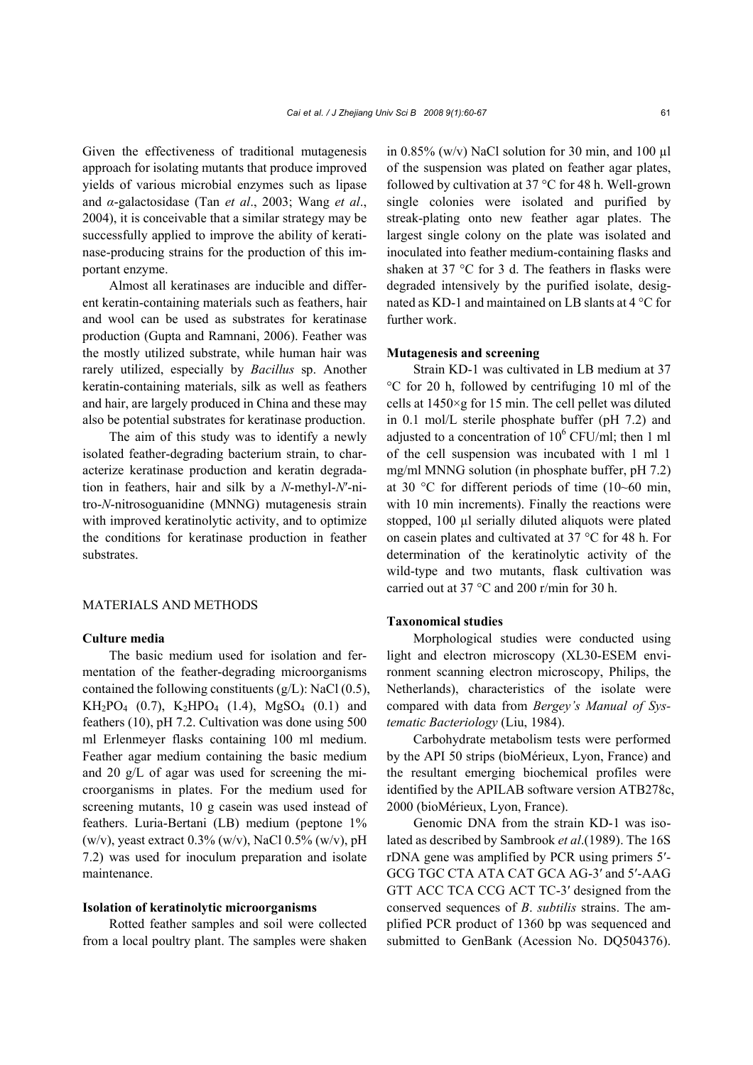Given the effectiveness of traditional mutagenesis approach for isolating mutants that produce improved yields of various microbial enzymes such as lipase and *α*-galactosidase (Tan *et al*., 2003; Wang *et al*., 2004), it is conceivable that a similar strategy may be successfully applied to improve the ability of keratinase-producing strains for the production of this important enzyme.

Almost all keratinases are inducible and different keratin-containing materials such as feathers, hair and wool can be used as substrates for keratinase production (Gupta and Ramnani, 2006). Feather was the mostly utilized substrate, while human hair was rarely utilized, especially by *Bacillus* sp. Another keratin-containing materials, silk as well as feathers and hair, are largely produced in China and these may also be potential substrates for keratinase production.

The aim of this study was to identify a newly isolated feather-degrading bacterium strain, to characterize keratinase production and keratin degradation in feathers, hair and silk by a *N*-methyl-*N*′-nitro-*N*-nitrosoguanidine (MNNG) mutagenesis strain with improved keratinolytic activity, and to optimize the conditions for keratinase production in feather substrates.

# MATERIALS AND METHODS

## **Culture media**

The basic medium used for isolation and fermentation of the feather-degrading microorganisms contained the following constituents  $(g/L)$ : NaCl  $(0.5)$ ,  $KH_2PO_4$  (0.7),  $K_2HPO_4$  (1.4),  $MgSO_4$  (0.1) and feathers (10), pH 7.2. Cultivation was done using 500 ml Erlenmeyer flasks containing 100 ml medium. Feather agar medium containing the basic medium and 20 g/L of agar was used for screening the microorganisms in plates. For the medium used for screening mutants, 10 g casein was used instead of feathers. Luria-Bertani (LB) medium (peptone 1% (w/v), yeast extract  $0.3\%$  (w/v), NaCl  $0.5\%$  (w/v), pH 7.2) was used for inoculum preparation and isolate maintenance.

#### **Isolation of keratinolytic microorganisms**

Rotted feather samples and soil were collected from a local poultry plant. The samples were shaken in 0.85% (w/v) NaCl solution for 30 min, and 100  $\mu$ l of the suspension was plated on feather agar plates, followed by cultivation at 37 °C for 48 h. Well-grown single colonies were isolated and purified by streak-plating onto new feather agar plates. The largest single colony on the plate was isolated and inoculated into feather medium-containing flasks and shaken at 37 °C for 3 d. The feathers in flasks were degraded intensively by the purified isolate, designated as KD-1 and maintained on LB slants at 4 °C for further work.

# **Mutagenesis and screening**

Strain KD-1 was cultivated in LB medium at 37 °C for 20 h, followed by centrifuging 10 ml of the cells at 1450×g for 15 min. The cell pellet was diluted in 0.1 mol/L sterile phosphate buffer (pH 7.2) and adjusted to a concentration of  $10^6$  CFU/ml; then 1 ml of the cell suspension was incubated with 1 ml 1 mg/ml MNNG solution (in phosphate buffer, pH 7.2) at 30 °C for different periods of time (10~60 min, with 10 min increments). Finally the reactions were stopped, 100 µl serially diluted aliquots were plated on casein plates and cultivated at 37 °C for 48 h. For determination of the keratinolytic activity of the wild-type and two mutants, flask cultivation was carried out at 37 °C and 200 r/min for 30 h.

#### **Taxonomical studies**

Morphological studies were conducted using light and electron microscopy (XL30-ESEM environment scanning electron microscopy, Philips, the Netherlands), characteristics of the isolate were compared with data from *Bergey's Manual of Systematic Bacteriology* (Liu, 1984).

Carbohydrate metabolism tests were performed by the API 50 strips (bioMérieux, Lyon, France) and the resultant emerging biochemical profiles were identified by the APILAB software version ATB278c, 2000 (bioMérieux, Lyon, France).

Genomic DNA from the strain KD-1 was isolated as described by Sambrook *et al*.(1989). The 16S rDNA gene was amplified by PCR using primers 5′- GCG TGC CTA ATA CAT GCA AG-3′ and 5′-AAG GTT ACC TCA CCG ACT TC-3′ designed from the conserved sequences of *B*. *subtilis* strains. The amplified PCR product of 1360 bp was sequenced and submitted to GenBank (Acession No. DQ504376).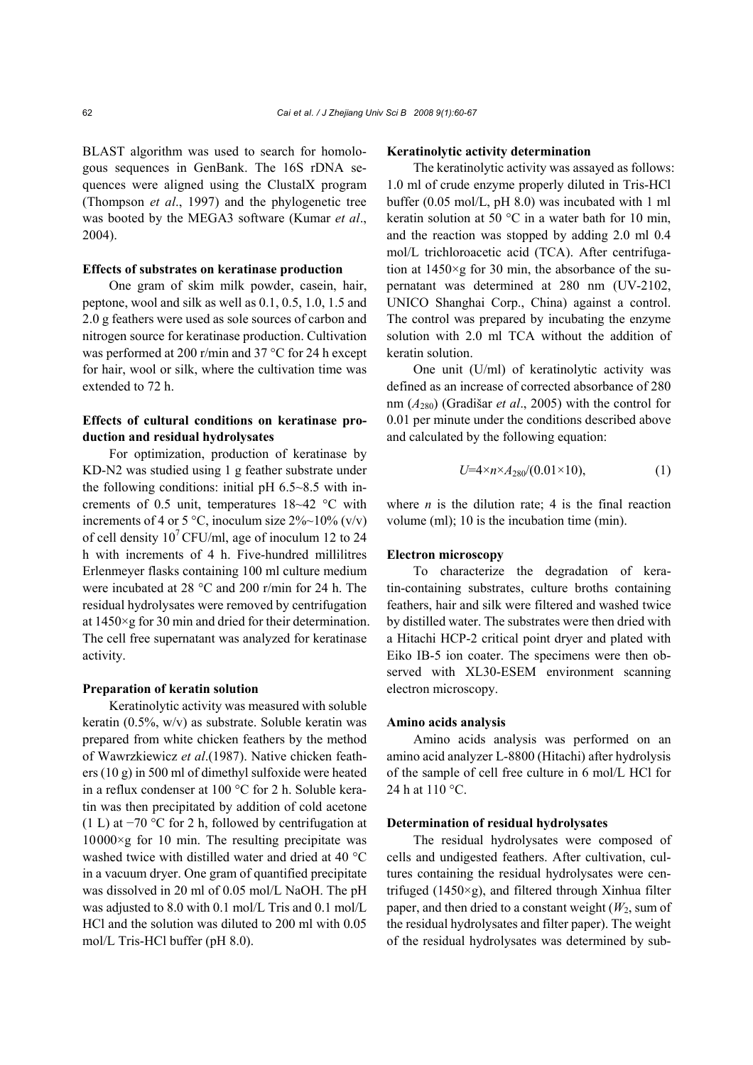BLAST algorithm was used to search for homologous sequences in GenBank. The 16S rDNA sequences were aligned using the ClustalX program (Thompson *et al*., 1997) and the phylogenetic tree was booted by the MEGA3 software (Kumar *et al*., 2004).

#### **Effects of substrates on keratinase production**

One gram of skim milk powder, casein, hair, peptone, wool and silk as well as 0.1, 0.5, 1.0, 1.5 and 2.0 g feathers were used as sole sources of carbon and nitrogen source for keratinase production. Cultivation was performed at 200 r/min and 37 °C for 24 h except for hair, wool or silk, where the cultivation time was extended to 72 h.

# **Effects of cultural conditions on keratinase production and residual hydrolysates**

For optimization, production of keratinase by KD-N2 was studied using 1 g feather substrate under the following conditions: initial pH  $6.5 \sim 8.5$  with increments of 0.5 unit, temperatures 18~42 °C with increments of 4 or 5 °C, inoculum size  $2\% \sim 10\%$  (v/v) of cell density  $10^7$  CFU/ml, age of inoculum 12 to 24 h with increments of 4 h. Five-hundred millilitres Erlenmeyer flasks containing 100 ml culture medium were incubated at 28 °C and 200 r/min for 24 h. The residual hydrolysates were removed by centrifugation at 1450×g for 30 min and dried for their determination. The cell free supernatant was analyzed for keratinase activity.

# **Preparation of keratin solution**

Keratinolytic activity was measured with soluble keratin (0.5%, w/v) as substrate. Soluble keratin was prepared from white chicken feathers by the method of Wawrzkiewicz *et al*.(1987). Native chicken feathers (10 g) in 500 ml of dimethyl sulfoxide were heated in a reflux condenser at 100 °C for 2 h. Soluble keratin was then precipitated by addition of cold acetone (1 L) at −70 °C for 2 h, followed by centrifugation at  $10000\times g$  for 10 min. The resulting precipitate was washed twice with distilled water and dried at 40 °C in a vacuum dryer. One gram of quantified precipitate was dissolved in 20 ml of 0.05 mol/L NaOH. The pH was adjusted to 8.0 with 0.1 mol/L Tris and 0.1 mol/L HCl and the solution was diluted to 200 ml with 0.05 mol/L Tris-HCl buffer (pH 8.0).

#### **Keratinolytic activity determination**

The keratinolytic activity was assayed as follows: 1.0 ml of crude enzyme properly diluted in Tris-HCl buffer (0.05 mol/L, pH 8.0) was incubated with 1 ml keratin solution at 50  $^{\circ}$ C in a water bath for 10 min, and the reaction was stopped by adding 2.0 ml 0.4 mol/L trichloroacetic acid (TCA). After centrifugation at  $1450 \times g$  for 30 min, the absorbance of the supernatant was determined at 280 nm (UV-2102, UNICO Shanghai Corp., China) against a control. The control was prepared by incubating the enzyme solution with 2.0 ml TCA without the addition of keratin solution.

One unit (U/ml) of keratinolytic activity was defined as an increase of corrected absorbance of 280 nm (*A*280) (Gradišar *et al*., 2005) with the control for 0.01 per minute under the conditions described above and calculated by the following equation:

$$
U=4 \times n \times A_{280}/(0.01 \times 10), \tag{1}
$$

where  $n$  is the dilution rate; 4 is the final reaction volume (ml); 10 is the incubation time (min).

## **Electron microscopy**

To characterize the degradation of keratin-containing substrates, culture broths containing feathers, hair and silk were filtered and washed twice by distilled water. The substrates were then dried with a Hitachi HCP-2 critical point dryer and plated with Eiko IB-5 ion coater. The specimens were then observed with XL30-ESEM environment scanning electron microscopy.

#### **Amino acids analysis**

Amino acids analysis was performed on an amino acid analyzer L-8800 (Hitachi) after hydrolysis of the sample of cell free culture in 6 mol/L HCl for 24 h at 110 °C.

# **Determination of residual hydrolysates**

The residual hydrolysates were composed of cells and undigested feathers. After cultivation, cultures containing the residual hydrolysates were centrifuged (1450×g), and filtered through Xinhua filter paper, and then dried to a constant weight  $(W_2)$ , sum of the residual hydrolysates and filter paper). The weight of the residual hydrolysates was determined by sub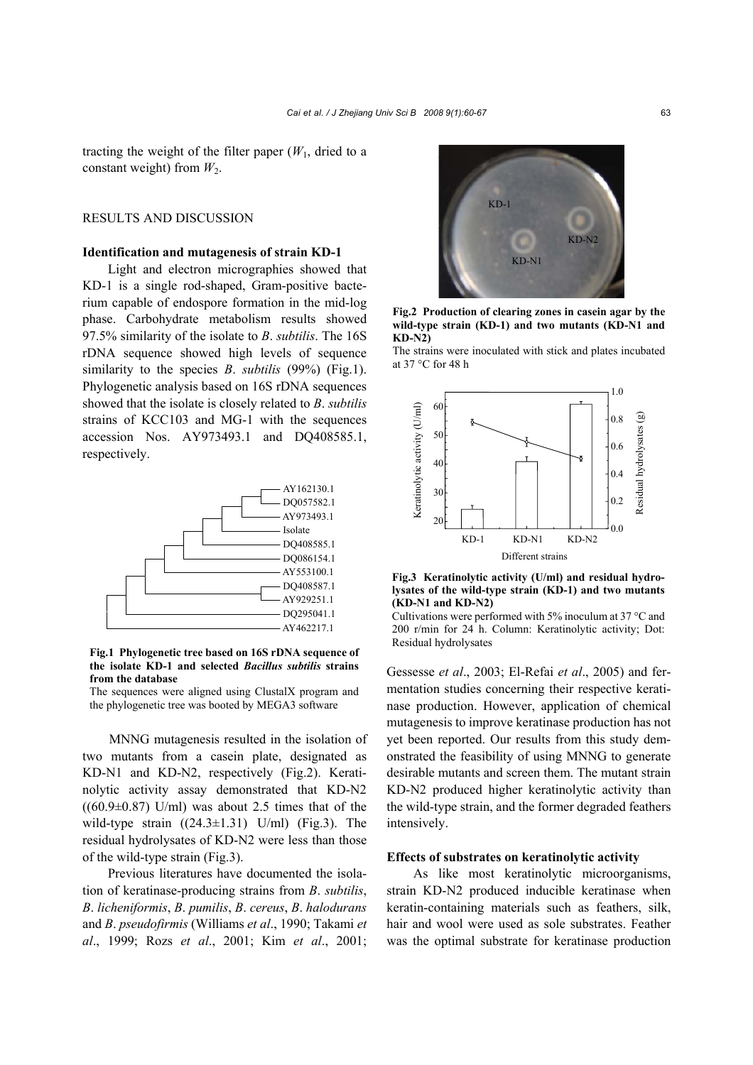tracting the weight of the filter paper  $(W_1, \text{ dried to a})$ constant weight) from  $W_2$ .

# RESULTS AND DISCUSSION

## **Identification and mutagenesis of strain KD-1**

Light and electron micrographies showed that KD-1 is a single rod-shaped, Gram-positive bacterium capable of endospore formation in the mid-log phase. Carbohydrate metabolism results showed 97.5% similarity of the isolate to *B*. *subtilis*. The 16S rDNA sequence showed high levels of sequence similarity to the species *B*. *subtilis* (99%) (Fig.1). Phylogenetic analysis based on 16S rDNA sequences showed that the isolate is closely related to *B*. *subtilis* strains of KCC103 and MG-1 with the sequences accession Nos. AY973493.1 and DQ408585.1, respectively.



**Fig.1 Phylogenetic tree based on 16S rDNA sequence of the isolate KD-1 and selected** *Bacillus subtilis* **strains from the database** 

The sequences were aligned using ClustalX program and the phylogenetic tree was booted by MEGA3 software

MNNG mutagenesis resulted in the isolation of two mutants from a casein plate, designated as KD-N1 and KD-N2, respectively (Fig.2). Keratinolytic activity assay demonstrated that KD-N2  $((60.9\pm0.87)$  U/ml) was about 2.5 times that of the wild-type strain  $((24.3 \pm 1.31)$  U/ml) (Fig.3). The residual hydrolysates of KD-N2 were less than those of the wild-type strain (Fig.3).

Previous literatures have documented the isolation of keratinase-producing strains from *B*. *subtilis*, *B*. *licheniformis*, *B*. *pumilis*, *B*. *cereus*, *B*. *halodurans*  and *B*. *pseudofirmis* (Williams *et al*., 1990; Takami *et al*., 1999; Rozs *et al*., 2001; Kim *et al*., 2001;



**Fig.2 Production of clearing zones in casein agar by the wild-type strain (KD-1) and two mutants (KD-N1 and KD-N2)** 

The strains were inoculated with stick and plates incubated at 37 °C for 48 h



**Fig.3 Keratinolytic activity (U/ml) and residual hydrolysates of the wild-type strain (KD-1) and two mutants (KD-N1 and KD-N2)** 

Cultivations were performed with 5% inoculum at 37 °C and 200 r/min for 24 h. Column: Keratinolytic activity; Dot: Residual hydrolysates

Gessesse *et al*., 2003; El-Refai *et al*., 2005) and fermentation studies concerning their respective keratinase production. However, application of chemical mutagenesis to improve keratinase production has not yet been reported. Our results from this study demonstrated the feasibility of using MNNG to generate desirable mutants and screen them. The mutant strain KD-N2 produced higher keratinolytic activity than the wild-type strain, and the former degraded feathers intensively.

# **Effects of substrates on keratinolytic activity**

As like most keratinolytic microorganisms, strain KD-N2 produced inducible keratinase when keratin-containing materials such as feathers, silk, hair and wool were used as sole substrates. Feather was the optimal substrate for keratinase production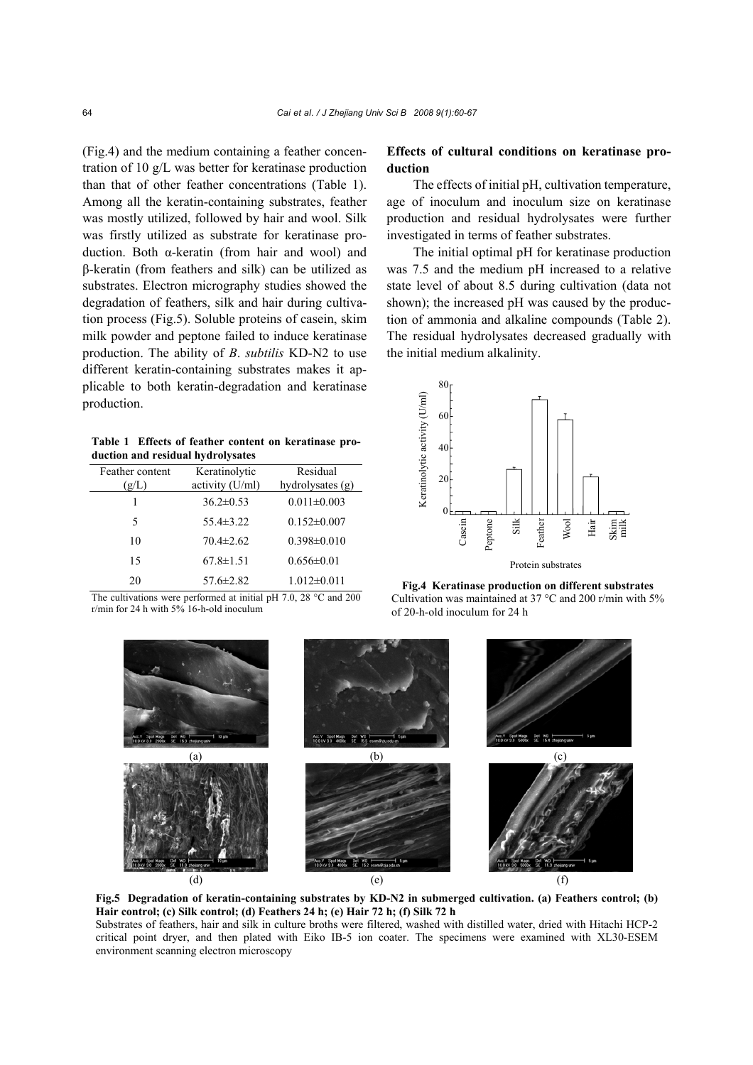(Fig.4) and the medium containing a feather concentration of 10 g/L was better for keratinase production than that of other feather concentrations (Table 1). Among all the keratin-containing substrates, feather was mostly utilized, followed by hair and wool. Silk was firstly utilized as substrate for keratinase production. Both α-keratin (from hair and wool) and β-keratin (from feathers and silk) can be utilized as substrates. Electron micrography studies showed the degradation of feathers, silk and hair during cultivation process (Fig.5). Soluble proteins of casein, skim milk powder and peptone failed to induce keratinase production. The ability of *B*. *subtilis* KD-N2 to use different keratin-containing substrates makes it applicable to both keratin-degradation and keratinase production.

**Table 1 Effects of feather content on keratinase production and residual hydrolysates**

| Feather content<br>(g/L) | Keratinolytic<br>activity (U/ml) | Residual<br>hydrolysates (g) |
|--------------------------|----------------------------------|------------------------------|
|                          | $36.2 \pm 0.53$                  | $0.011 \pm 0.003$            |
| 5                        | $55.4 \pm 3.22$                  | $0.152 \pm 0.007$            |
| 10                       | $70.4 \pm 2.62$                  | $0.398 \pm 0.010$            |
| 15                       | $67.8 \pm 1.51$                  | $0.656\pm0.01$               |
| 20                       | $57.6 \pm 2.82$                  | $1.012\pm0.011$              |

The cultivations were performed at initial pH 7.0, 28 °C and 200 r/min for 24 h with 5% 16-h-old inoculum

# **Effects of cultural conditions on keratinase production**

The effects of initial pH, cultivation temperature, age of inoculum and inoculum size on keratinase production and residual hydrolysates were further investigated in terms of feather substrates.

The initial optimal pH for keratinase production was 7.5 and the medium pH increased to a relative state level of about 8.5 during cultivation (data not shown); the increased pH was caused by the production of ammonia and alkaline compounds (Table 2). The residual hydrolysates decreased gradually with the initial medium alkalinity.



**Fig.4 Keratinase production on different substrates** Cultivation was maintained at 37 °C and 200 r/min with 5% of 20-h-old inoculum for 24 h



**Fig.5 Degradation of keratin-containing substrates by KD-N2 in submerged cultivation. (a) Feathers control; (b) Hair control; (c) Silk control; (d) Feathers 24 h; (e) Hair 72 h; (f) Silk 72 h**

Substrates of feathers, hair and silk in culture broths were filtered, washed with distilled water, dried with Hitachi HCP-2 critical point dryer, and then plated with Eiko IB-5 ion coater. The specimens were examined with XL30-ESEM environment scanning electron microscopy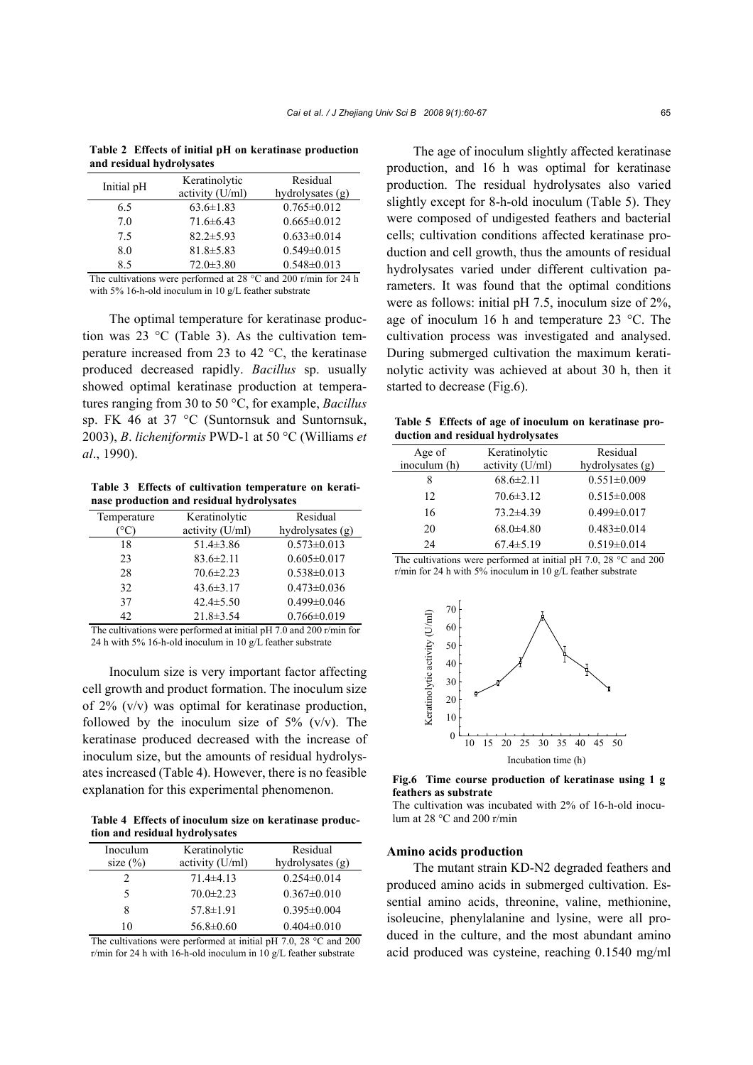**Table 2 Effects of initial pH on keratinase production and residual hydrolysates**

|      | Initial pH | Keratinolytic<br>activity (U/ml) | Residual<br>hydrolysates (g) |
|------|------------|----------------------------------|------------------------------|
|      | 6.5        | $63.6 \pm 1.83$                  | $0.765 \pm 0.012$            |
|      | 7.0        | $71.6\pm 6.43$                   | $0.665 \pm 0.012$            |
|      | 7.5        | $82.2 \pm 5.93$                  | $0.633 \pm 0.014$            |
|      | 8.0        | $81.8 \pm 5.83$                  | $0.549 \pm 0.015$            |
|      | 8.5        | $72.0 \pm 3.80$                  | $0.548 \pm 0.013$            |
| $-1$ | $\cdots$   | $\sim$ $\sim$ $\sim$ $\sim$      |                              |

The cultivations were performed at 28 °C and 200 r/min for 24 h with 5% 16-h-old inoculum in 10 g/L feather substrate

The optimal temperature for keratinase production was 23 °C (Table 3). As the cultivation temperature increased from 23 to 42 °C, the keratinase produced decreased rapidly. *Bacillus* sp. usually showed optimal keratinase production at temperatures ranging from 30 to 50 °C, for example, *Bacillus* sp. FK 46 at 37 °C (Suntornsuk and Suntornsuk, 2003), *B*. *licheniformis* PWD-1 at 50 °C (Williams *et al*., 1990).

**Table 3 Effects of cultivation temperature on keratinase production and residual hydrolysates**

| Temperature | Keratinolytic   | Residual          |
|-------------|-----------------|-------------------|
|             | activity (U/ml) | hydrolysates (g)  |
| 18          | $51.4 \pm 3.86$ | $0.573 \pm 0.013$ |
| 23          | $83.6 \pm 2.11$ | $0.605 \pm 0.017$ |
| 28          | $70.6 \pm 2.23$ | $0.538 \pm 0.013$ |
| 32          | $43.6 \pm 3.17$ | $0.473 \pm 0.036$ |
| 37          | $42.4 \pm 5.50$ | $0.499 \pm 0.046$ |
| 42.         | $21.8 \pm 3.54$ | $0.766 \pm 0.019$ |

The cultivations were performed at initial pH 7.0 and 200 r/min for 24 h with 5% 16-h-old inoculum in 10 g/L feather substrate

Inoculum size is very important factor affecting cell growth and product formation. The inoculum size of 2% (v/v) was optimal for keratinase production, followed by the inoculum size of  $5\%$  (v/v). The keratinase produced decreased with the increase of inoculum size, but the amounts of residual hydrolysates increased (Table 4). However, there is no feasible explanation for this experimental phenomenon.

**Table 4 Effects of inoculum size on keratinase production and residual hydrolysates**

| Inoculum     | Keratinolytic   | Residual           |
|--------------|-----------------|--------------------|
| size $(\% )$ | activity (U/ml) | hydrolysates $(g)$ |
|              | $71.4\pm4.13$   | $0.254 \pm 0.014$  |
| 5            | $70.0 \pm 2.23$ | $0.367 \pm 0.010$  |
| 8            | $57.8 \pm 1.91$ | $0.395 \pm 0.004$  |
| 10           | $56.8 \pm 0.60$ | $0.404 \pm 0.010$  |

The cultivations were performed at initial pH 7.0, 28 °C and 200 r/min for 24 h with 16-h-old inoculum in 10 g/L feather substrate

The age of inoculum slightly affected keratinase production, and 16 h was optimal for keratinase production. The residual hydrolysates also varied slightly except for 8-h-old inoculum (Table 5). They were composed of undigested feathers and bacterial cells; cultivation conditions affected keratinase production and cell growth, thus the amounts of residual hydrolysates varied under different cultivation parameters. It was found that the optimal conditions were as follows: initial pH 7.5, inoculum size of 2%, age of inoculum 16 h and temperature 23 °C. The cultivation process was investigated and analysed. During submerged cultivation the maximum keratinolytic activity was achieved at about 30 h, then it started to decrease (Fig.6).

**Table 5 Effects of age of inoculum on keratinase production and residual hydrolysates**

| Age of       | Keratinolytic   | Residual          |
|--------------|-----------------|-------------------|
| inoculum (h) | activity (U/ml) | hydrolysates (g)  |
| 8            | $68.6 \pm 2.11$ | $0.551 \pm 0.009$ |
| 12           | $70.6 \pm 3.12$ | $0.515 \pm 0.008$ |
| 16           | $73.2 \pm 4.39$ | $0.499 \pm 0.017$ |
| 20           | $68.0 \pm 4.80$ | $0.483 \pm 0.014$ |
| 24           | $67.4 \pm 5.19$ | $0.519 \pm 0.014$ |
|              |                 |                   |

The cultivations were performed at initial pH 7.0, 28 °C and 200 r/min for 24 h with 5% inoculum in 10 g/L feather substrate



**Fig.6 Time course production of keratinase using 1 g feathers as substrate** 

The cultivation was incubated with 2% of 16-h-old inoculum at 28 °C and 200 r/min

## **Amino acids production**

The mutant strain KD-N2 degraded feathers and produced amino acids in submerged cultivation. Essential amino acids, threonine, valine, methionine, isoleucine, phenylalanine and lysine, were all produced in the culture, and the most abundant amino acid produced was cysteine, reaching 0.1540 mg/ml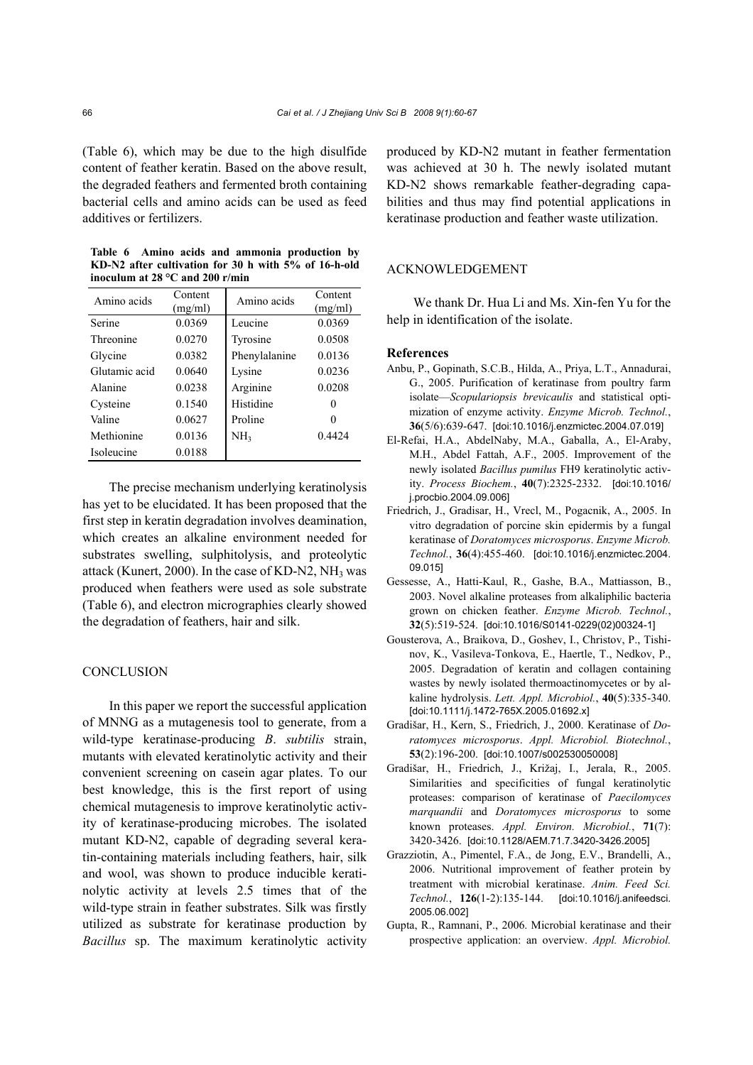(Table 6), which may be due to the high disulfide content of feather keratin. Based on the above result, the degraded feathers and fermented broth containing bacterial cells and amino acids can be used as feed additives or fertilizers.

**Table 6 Amino acids and ammonia production by KD-N2 after cultivation for 30 h with 5% of 16-h-old inoculum at 28 °C and 200 r/min**

| Amino acids   | Content<br>(mg/ml) | Amino acids     | Content<br>(mg/ml) |
|---------------|--------------------|-----------------|--------------------|
| Serine        | 0.0369             | Leucine         | 0.0369             |
| Threonine     | 0.0270             | Tyrosine        | 0.0508             |
| Glycine       | 0.0382             | Phenylalanine   | 0.0136             |
| Glutamic acid | 0.0640             | Lysine          | 0.0236             |
| Alanine       | 0.0238             | Arginine        | 0.0208             |
| Cysteine      | 0.1540             | Histidine       | 0                  |
| Valine        | 0.0627             | Proline         | 0                  |
| Methionine    | 0.0136             | NH <sub>3</sub> | 0.4424             |
| Isoleucine    | 0.0188             |                 |                    |

The precise mechanism underlying keratinolysis has yet to be elucidated. It has been proposed that the first step in keratin degradation involves deamination, which creates an alkaline environment needed for substrates swelling, sulphitolysis, and proteolytic attack (Kunert, 2000). In the case of KD-N2,  $NH<sub>3</sub>$  was produced when feathers were used as sole substrate (Table 6), and electron micrographies clearly showed the degradation of feathers, hair and silk.

# **CONCLUSION**

In this paper we report the successful application of MNNG as a mutagenesis tool to generate, from a wild-type keratinase-producing *B*. *subtilis* strain, mutants with elevated keratinolytic activity and their convenient screening on casein agar plates. To our best knowledge, this is the first report of using chemical mutagenesis to improve keratinolytic activity of keratinase-producing microbes. The isolated mutant KD-N2, capable of degrading several keratin-containing materials including feathers, hair, silk and wool, was shown to produce inducible keratinolytic activity at levels 2.5 times that of the wild-type strain in feather substrates. Silk was firstly utilized as substrate for keratinase production by *Bacillus* sp. The maximum keratinolytic activity produced by KD-N2 mutant in feather fermentation was achieved at 30 h. The newly isolated mutant KD-N2 shows remarkable feather-degrading capabilities and thus may find potential applications in keratinase production and feather waste utilization.

# ACKNOWLEDGEMENT

We thank Dr. Hua Li and Ms. Xin-fen Yu for the help in identification of the isolate.

## **References**

- Anbu, P., Gopinath, S.C.B., Hilda, A., Priya, L.T., Annadurai, G., 2005. Purification of keratinase from poultry farm isolate—*Scopulariopsis brevicaulis* and statistical optimization of enzyme activity. *Enzyme Microb. Technol.*, **36**(5/6):639-647. [doi:10.1016/j.enzmictec.2004.07.019]
- El-Refai, H.A., AbdelNaby, M.A., Gaballa, A., El-Araby, M.H., Abdel Fattah, A.F., 2005. Improvement of the newly isolated *Bacillus pumilus* FH9 keratinolytic activity. *Process Biochem.*, **40**(7):2325-2332. [doi:10.1016/ j.procbio.2004.09.006]
- Friedrich, J., Gradisar, H., Vrecl, M., Pogacnik, A., 2005. In vitro degradation of porcine skin epidermis by a fungal keratinase of *Doratomyces microsporus*. *Enzyme Microb. Technol.*, **36**(4):455-460. [doi:10.1016/j.enzmictec.2004. 09.015]
- Gessesse, A., Hatti-Kaul, R., Gashe, B.A., Mattiasson, B., 2003. Novel alkaline proteases from alkaliphilic bacteria grown on chicken feather. *Enzyme Microb. Technol.*, **32**(5):519-524. [doi:10.1016/S0141-0229(02)00324-1]
- Gousterova, A., Braikova, D., Goshev, I., Christov, P., Tishinov, K., Vasileva-Tonkova, E., Haertle, T., Nedkov, P., 2005. Degradation of keratin and collagen containing wastes by newly isolated thermoactinomycetes or by alkaline hydrolysis. *Lett. Appl. Microbiol.*, **40**(5):335-340. [doi:10.1111/j.1472-765X.2005.01692.x]
- Gradišar, H., Kern, S., Friedrich, J., 2000. Keratinase of *Doratomyces microsporus*. *Appl. Microbiol. Biotechnol.*, **53**(2):196-200. [doi:10.1007/s002530050008]
- Gradišar, H., Friedrich, J., Križaj, I., Jerala, R., 2005. Similarities and specificities of fungal keratinolytic proteases: comparison of keratinase of *Paecilomyces marquandii* and *Doratomyces microsporus* to some known proteases. *Appl. Environ. Microbiol.*, **71**(7): 3420-3426. [doi:10.1128/AEM.71.7.3420-3426.2005]
- Grazziotin, A., Pimentel, F.A., de Jong, E.V., Brandelli, A., 2006. Nutritional improvement of feather protein by treatment with microbial keratinase. *Anim. Feed Sci. Technol.*, **126**(1-2):135-144. [doi:10.1016/j.anifeedsci. 2005.06.002]
- Gupta, R., Ramnani, P., 2006. Microbial keratinase and their prospective application: an overview. *Appl. Microbiol.*